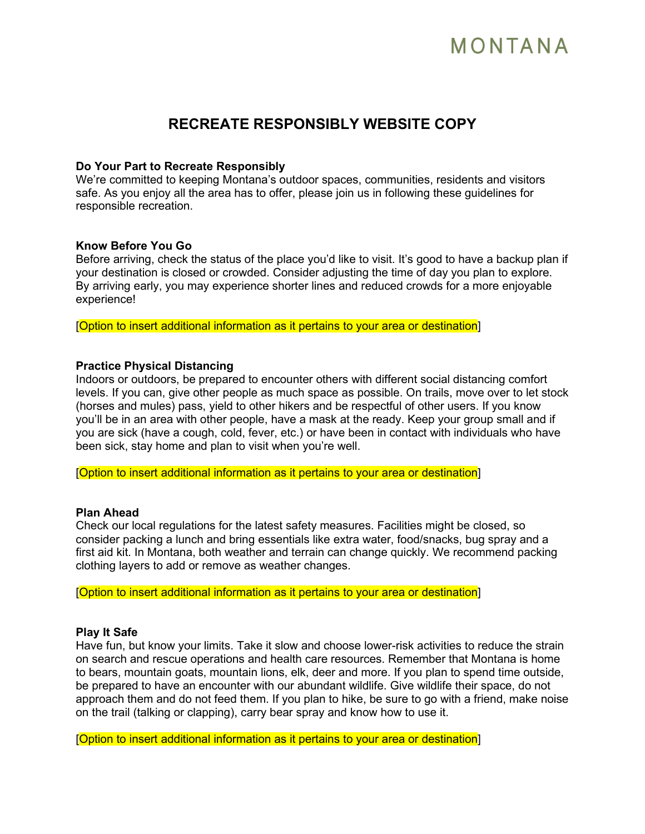# MONTANA

### **RECREATE RESPONSIBLY WEBSITE COPY**

#### **Do Your Part to Recreate Responsibly**

We're committed to keeping Montana's outdoor spaces, communities, residents and visitors safe. As you enjoy all the area has to offer, please join us in following these guidelines for responsible recreation.

#### **Know Before You Go**

Before arriving, check the status of the place you'd like to visit. It's good to have a backup plan if your destination is closed or crowded. Consider adjusting the time of day you plan to explore. By arriving early, you may experience shorter lines and reduced crowds for a more enjoyable experience!

[Option to insert additional information as it pertains to your area or destination]

#### **Practice Physical Distancing**

Indoors or outdoors, be prepared to encounter others with different social distancing comfort levels. If you can, give other people as much space as possible. On trails, move over to let stock (horses and mules) pass, yield to other hikers and be respectful of other users. If you know you'll be in an area with other people, have a mask at the ready. Keep your group small and if you are sick (have a cough, cold, fever, etc.) or have been in contact with individuals who have been sick, stay home and plan to visit when you're well.

[Option to insert additional information as it pertains to your area or destination]

#### **Plan Ahead**

Check our local regulations for the latest safety measures. Facilities might be closed, so consider packing a lunch and bring essentials like extra water, food/snacks, bug spray and a first aid kit. In Montana, both weather and terrain can change quickly. We recommend packing clothing layers to add or remove as weather changes.

[Option to insert additional information as it pertains to your area or destination]

#### **Play It Safe**

Have fun, but know your limits. Take it slow and choose lower-risk activities to reduce the strain on search and rescue operations and health care resources. Remember that Montana is home to bears, mountain goats, mountain lions, elk, deer and more. If you plan to spend time outside, be prepared to have an encounter with our abundant wildlife. Give wildlife their space, do not approach them and do not feed them. If you plan to hike, be sure to go with a friend, make noise on the trail (talking or clapping), carry bear spray and know how to use it.

[Option to insert additional information as it pertains to your area or destination]